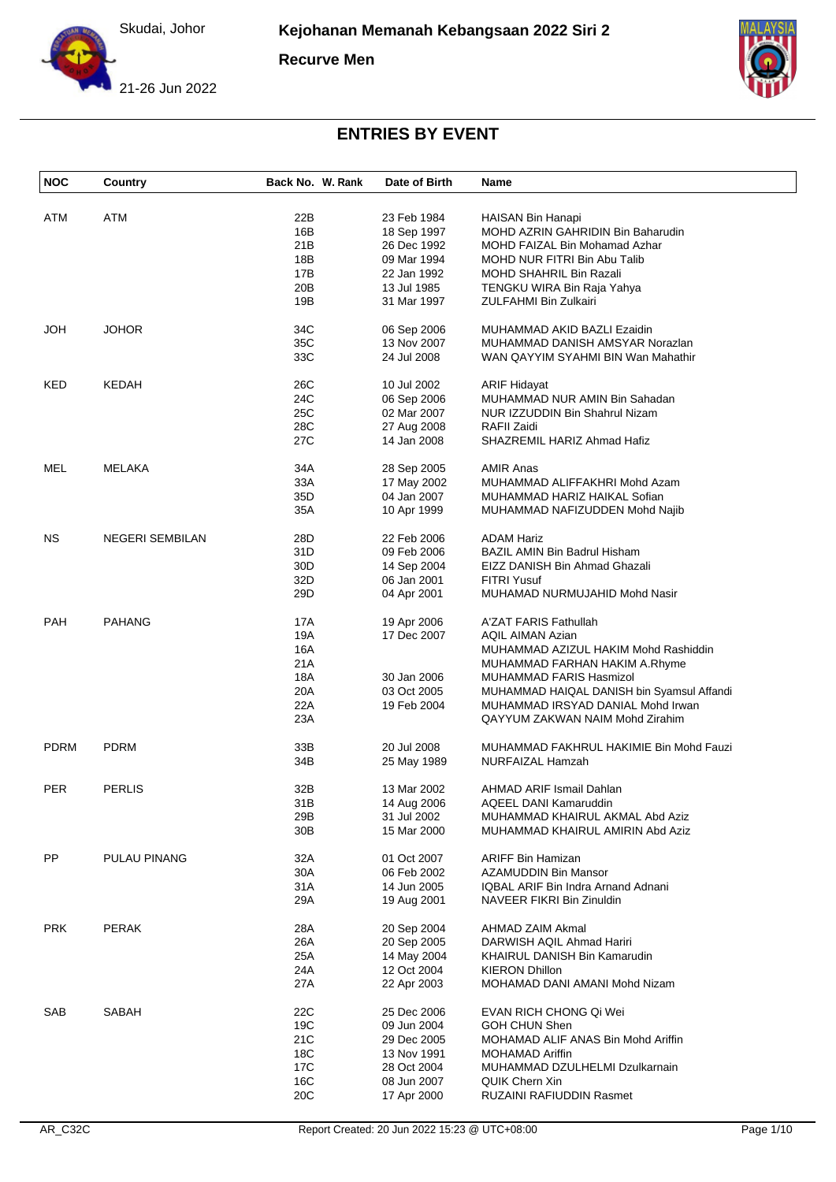

**Recurve Men**





| <b>NOC</b>  | Country                | Back No. W. Rank | Date of Birth | Name                                       |
|-------------|------------------------|------------------|---------------|--------------------------------------------|
|             |                        |                  |               |                                            |
| ATM         | ATM                    | 22B              | 23 Feb 1984   | HAISAN Bin Hanapi                          |
|             |                        | 16B              | 18 Sep 1997   | MOHD AZRIN GAHRIDIN Bin Baharudin          |
|             |                        | 21B              | 26 Dec 1992   | MOHD FAIZAL Bin Mohamad Azhar              |
|             |                        | 18B              | 09 Mar 1994   | MOHD NUR FITRI Bin Abu Talib               |
|             |                        | 17B              | 22 Jan 1992   | MOHD SHAHRIL Bin Razali                    |
|             |                        | 20 <sub>B</sub>  | 13 Jul 1985   | TENGKU WIRA Bin Raja Yahya                 |
|             |                        | 19B              | 31 Mar 1997   | ZULFAHMI Bin Zulkairi                      |
| JOH         | <b>JOHOR</b>           | 34C              | 06 Sep 2006   | MUHAMMAD AKID BAZLI Ezaidin                |
|             |                        | 35C              | 13 Nov 2007   | MUHAMMAD DANISH AMSYAR Norazlan            |
|             |                        | 33C              | 24 Jul 2008   | WAN QAYYIM SYAHMI BIN Wan Mahathir         |
|             |                        |                  |               |                                            |
| KED         | KEDAH                  | 26C              | 10 Jul 2002   | <b>ARIF Hidayat</b>                        |
|             |                        | 24C              | 06 Sep 2006   | MUHAMMAD NUR AMIN Bin Sahadan              |
|             |                        | 25C              | 02 Mar 2007   | NUR IZZUDDIN Bin Shahrul Nizam             |
|             |                        | 28C              | 27 Aug 2008   | RAFII Zaidi                                |
|             |                        | 27C              | 14 Jan 2008   | SHAZREMIL HARIZ Ahmad Hafiz                |
| MEL         | MELAKA                 | 34A              | 28 Sep 2005   | <b>AMIR Anas</b>                           |
|             |                        | 33A              | 17 May 2002   | MUHAMMAD ALIFFAKHRI Mohd Azam              |
|             |                        | 35D              | 04 Jan 2007   | MUHAMMAD HARIZ HAIKAL Sofian               |
|             |                        | 35A              | 10 Apr 1999   | MUHAMMAD NAFIZUDDEN Mohd Najib             |
|             |                        |                  |               |                                            |
| NS.         | <b>NEGERI SEMBILAN</b> | 28D              | 22 Feb 2006   | <b>ADAM Hariz</b>                          |
|             |                        | 31D              | 09 Feb 2006   | BAZIL AMIN Bin Badrul Hisham               |
|             |                        | 30 <sub>D</sub>  | 14 Sep 2004   | EIZZ DANISH Bin Ahmad Ghazali              |
|             |                        | 32D              | 06 Jan 2001   | <b>FITRI Yusuf</b>                         |
|             |                        | 29D              | 04 Apr 2001   | MUHAMAD NURMUJAHID Mohd Nasir              |
| <b>PAH</b>  | <b>PAHANG</b>          | 17A              | 19 Apr 2006   | A'ZAT FARIS Fathullah                      |
|             |                        | 19A              | 17 Dec 2007   | <b>AQIL AIMAN Azian</b>                    |
|             |                        | 16A              |               | MUHAMMAD AZIZUL HAKIM Mohd Rashiddin       |
|             |                        |                  |               |                                            |
|             |                        | 21A              |               | MUHAMMAD FARHAN HAKIM A.Rhyme              |
|             |                        | 18A              | 30 Jan 2006   | MUHAMMAD FARIS Hasmizol                    |
|             |                        | 20A              | 03 Oct 2005   | MUHAMMAD HAIQAL DANISH bin Syamsul Affandi |
|             |                        | 22A              | 19 Feb 2004   | MUHAMMAD IRSYAD DANIAL Mohd Irwan          |
|             |                        | 23A              |               | QAYYUM ZAKWAN NAIM Mohd Zirahim            |
| <b>PDRM</b> | <b>PDRM</b>            | 33B              | 20 Jul 2008   | MUHAMMAD FAKHRUL HAKIMIE Bin Mohd Fauzi    |
|             |                        | 34B              | 25 May 1989   | NURFAIZAL Hamzah                           |
| <b>PER</b>  | PERLIS                 | 32B              | 13 Mar 2002   | AHMAD ARIF Ismail Dahlan                   |
|             |                        |                  |               |                                            |
|             |                        | 31B              | 14 Aug 2006   | AQEEL DANI Kamaruddin                      |
|             |                        | 29B              | 31 Jul 2002   | MUHAMMAD KHAIRUL AKMAL Abd Aziz            |
|             |                        | 30 <sub>B</sub>  | 15 Mar 2000   | MUHAMMAD KHAIRUL AMIRIN Abd Aziz           |
| PP.         | PULAU PINANG           | 32A              | 01 Oct 2007   | <b>ARIFF Bin Hamizan</b>                   |
|             |                        | 30A              | 06 Feb 2002   | AZAMUDDIN Bin Mansor                       |
|             |                        | 31A              | 14 Jun 2005   | IQBAL ARIF Bin Indra Arnand Adnani         |
|             |                        | 29A              | 19 Aug 2001   | NAVEER FIKRI Bin Zinuldin                  |
| <b>PRK</b>  | <b>PERAK</b>           | 28A              | 20 Sep 2004   | AHMAD ZAIM Akmal                           |
|             |                        |                  |               |                                            |
|             |                        | 26A              | 20 Sep 2005   | DARWISH AQIL Ahmad Hariri                  |
|             |                        | 25A              | 14 May 2004   | KHAIRUL DANISH Bin Kamarudin               |
|             |                        | 24A              | 12 Oct 2004   | <b>KIERON Dhillon</b>                      |
|             |                        | 27A              | 22 Apr 2003   | MOHAMAD DANI AMANI Mohd Nizam              |
| SAB         | SABAH                  | 22C              | 25 Dec 2006   | EVAN RICH CHONG Qi Wei                     |
|             |                        | 19C              | 09 Jun 2004   | GOH CHUN Shen                              |
|             |                        | 21C              | 29 Dec 2005   | MOHAMAD ALIF ANAS Bin Mohd Ariffin         |
|             |                        | 18C              | 13 Nov 1991   | <b>MOHAMAD Ariffin</b>                     |
|             |                        | 17C              | 28 Oct 2004   | MUHAMMAD DZULHELMI Dzulkarnain             |
|             |                        | 16C              | 08 Jun 2007   | <b>QUIK Chern Xin</b>                      |
|             |                        | 20C              | 17 Apr 2000   | RUZAINI RAFIUDDIN Rasmet                   |
|             |                        |                  |               |                                            |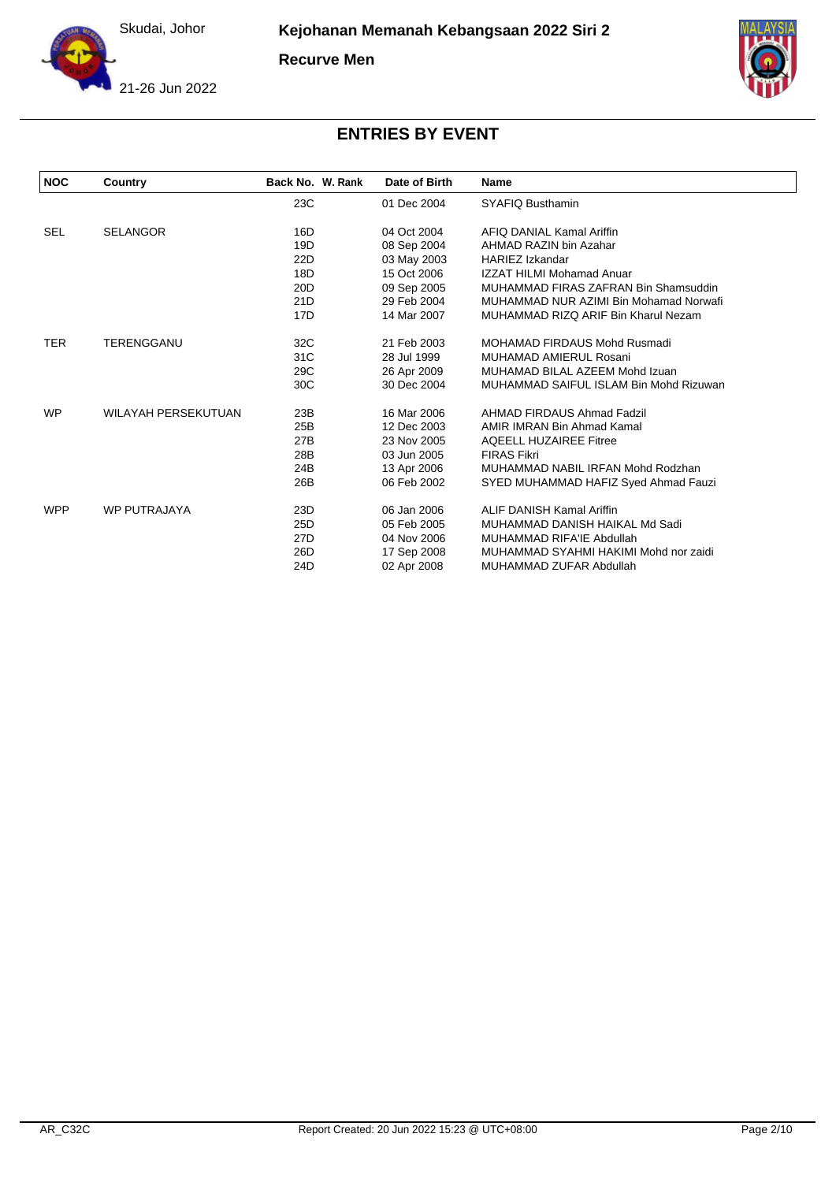

**Recurve Men**





| <b>NOC</b> | Country                    | Back No. W. Rank | Date of Birth | <b>Name</b>                            |
|------------|----------------------------|------------------|---------------|----------------------------------------|
|            |                            | 23C              | 01 Dec 2004   | SYAFIQ Busthamin                       |
| <b>SEL</b> | <b>SELANGOR</b>            | 16D              | 04 Oct 2004   | AFIQ DANIAL Kamal Ariffin              |
|            |                            | 19D              | 08 Sep 2004   | AHMAD RAZIN bin Azahar                 |
|            |                            | 22D              | 03 May 2003   | <b>HARIEZ Izkandar</b>                 |
|            |                            | 18D              | 15 Oct 2006   | <b>IZZAT HILMI Mohamad Anuar</b>       |
|            |                            | 20 <sub>D</sub>  | 09 Sep 2005   | MUHAMMAD FIRAS ZAFRAN Bin Shamsuddin   |
|            |                            | 21D              | 29 Feb 2004   | MUHAMMAD NUR AZIMI Bin Mohamad Norwafi |
|            |                            | 17D              | 14 Mar 2007   | MUHAMMAD RIZQ ARIF Bin Kharul Nezam    |
| <b>TER</b> | TERENGGANU                 | 32C              | 21 Feb 2003   | MOHAMAD FIRDAUS Mohd Rusmadi           |
|            |                            | 31C              | 28 Jul 1999   | <b>MUHAMAD AMIERUL Rosani</b>          |
|            |                            | 29C              | 26 Apr 2009   | MUHAMAD BILAL AZEEM Mohd Izuan         |
|            |                            | 30C              | 30 Dec 2004   | MUHAMMAD SAIFUL ISLAM Bin Mohd Rizuwan |
| <b>WP</b>  | <b>WILAYAH PERSEKUTUAN</b> | 23B              | 16 Mar 2006   | AHMAD FIRDAUS Ahmad Fadzil             |
|            |                            | 25B              | 12 Dec 2003   | AMIR IMRAN Bin Ahmad Kamal             |
|            |                            | 27B              | 23 Nov 2005   | <b>AQEELL HUZAIREE Fitree</b>          |
|            |                            | 28B              | 03 Jun 2005   | <b>FIRAS Fikri</b>                     |
|            |                            | 24B              | 13 Apr 2006   | MUHAMMAD NABIL IRFAN Mohd Rodzhan      |
|            |                            | 26B              | 06 Feb 2002   | SYED MUHAMMAD HAFIZ Syed Ahmad Fauzi   |
| <b>WPP</b> | <b>WP PUTRAJAYA</b>        | 23D              | 06 Jan 2006   | <b>ALIF DANISH Kamal Ariffin</b>       |
|            |                            | 25D              | 05 Feb 2005   | MUHAMMAD DANISH HAIKAL Md Sadi         |
|            |                            | 27 <sub>D</sub>  | 04 Nov 2006   | MUHAMMAD RIFA'IE Abdullah              |
|            |                            | 26D              | 17 Sep 2008   | MUHAMMAD SYAHMI HAKIMI Mohd nor zaidi  |
|            |                            | 24D              | 02 Apr 2008   | MUHAMMAD ZUFAR Abdullah                |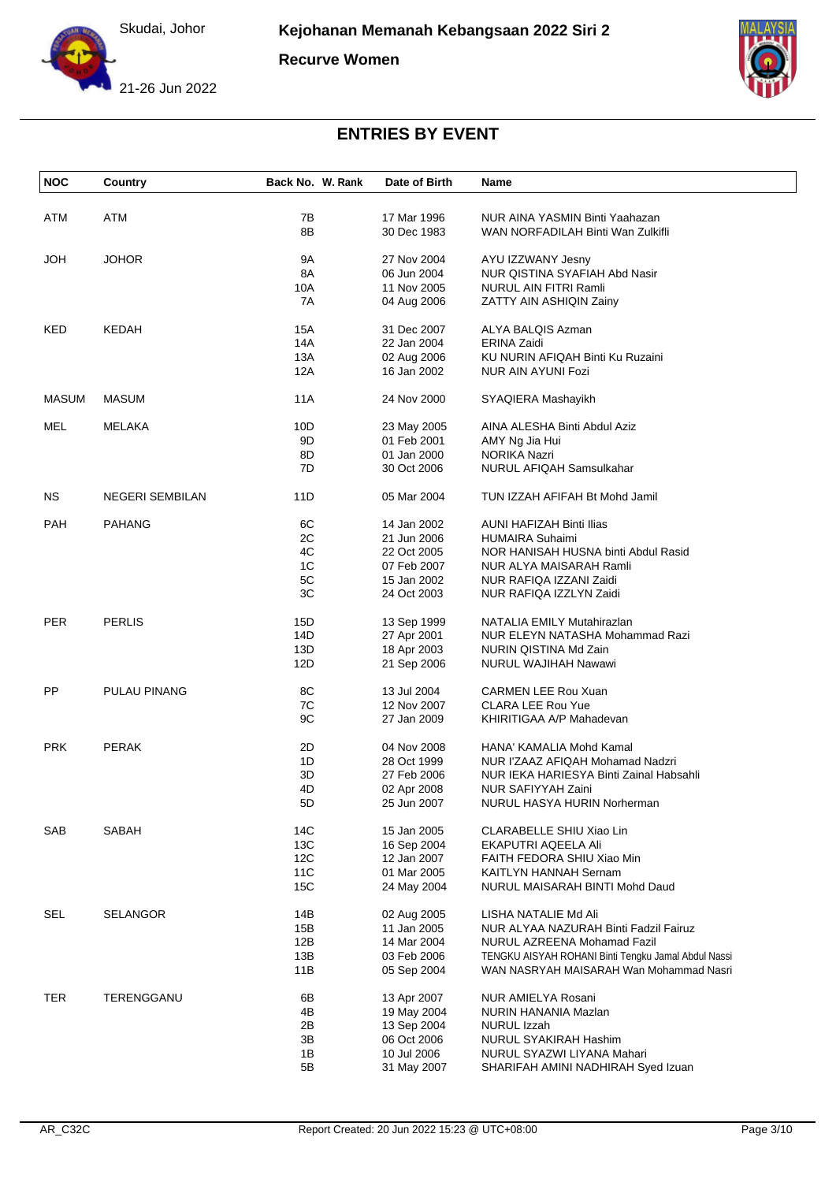

**Recurve Women**





| <b>NOC</b>   | Country                | Back No. W. Rank | Date of Birth | Name                                                |
|--------------|------------------------|------------------|---------------|-----------------------------------------------------|
| ATM          | ATM                    | 7B               | 17 Mar 1996   | NUR AINA YASMIN Binti Yaahazan                      |
|              |                        | 8B               | 30 Dec 1983   | WAN NORFADILAH Binti Wan Zulkifli                   |
| <b>HOL</b>   | <b>JOHOR</b>           | 9A               | 27 Nov 2004   | AYU IZZWANY Jesny                                   |
|              |                        | 8A               | 06 Jun 2004   | NUR QISTINA SYAFIAH Abd Nasir                       |
|              |                        | 10A              | 11 Nov 2005   | NURUL AIN FITRI Ramli                               |
|              |                        | 7A               | 04 Aug 2006   | ZATTY AIN ASHIQIN Zainy                             |
| KED          | <b>KEDAH</b>           | 15A              | 31 Dec 2007   | ALYA BALQIS Azman                                   |
|              |                        | 14A              | 22 Jan 2004   | <b>ERINA Zaidi</b>                                  |
|              |                        | 13A              | 02 Aug 2006   | KU NURIN AFIQAH Binti Ku Ruzaini                    |
|              |                        | 12A              | 16 Jan 2002   | NUR AIN AYUNI Fozi                                  |
| <b>MASUM</b> | <b>MASUM</b>           | 11A              | 24 Nov 2000   | SYAQIERA Mashayikh                                  |
| MEL          | MELAKA                 | 10D              | 23 May 2005   | AINA ALESHA Binti Abdul Aziz                        |
|              |                        | 9D               | 01 Feb 2001   | AMY Ng Jia Hui                                      |
|              |                        | 8D               | 01 Jan 2000   | <b>NORIKA Nazri</b>                                 |
|              |                        | 7D               | 30 Oct 2006   | <b>NURUL AFIQAH Samsulkahar</b>                     |
|              |                        |                  |               |                                                     |
| <b>NS</b>    | <b>NEGERI SEMBILAN</b> | 11D              | 05 Mar 2004   | TUN IZZAH AFIFAH Bt Mohd Jamil                      |
| <b>PAH</b>   | <b>PAHANG</b>          | 6C               | 14 Jan 2002   | <b>AUNI HAFIZAH Binti Ilias</b>                     |
|              |                        | 2C               | 21 Jun 2006   | <b>HUMAIRA Suhaimi</b>                              |
|              |                        | 4C               | 22 Oct 2005   | NOR HANISAH HUSNA binti Abdul Rasid                 |
|              |                        | 1C               | 07 Feb 2007   | NUR ALYA MAISARAH Ramli                             |
|              |                        | 5C               | 15 Jan 2002   | NUR RAFIQA IZZANI Zaidi                             |
|              |                        | 3C               | 24 Oct 2003   | NUR RAFIQA IZZLYN Zaidi                             |
| <b>PER</b>   | <b>PERLIS</b>          | 15D              | 13 Sep 1999   | NATALIA EMILY Mutahirazlan                          |
|              |                        | 14D              | 27 Apr 2001   | NUR ELEYN NATASHA Mohammad Razi                     |
|              |                        | 13D              | 18 Apr 2003   | NURIN QISTINA Md Zain                               |
|              |                        | 12D              | 21 Sep 2006   | <b>NURUL WAJIHAH Nawawi</b>                         |
|              |                        |                  |               |                                                     |
| PP           | PULAU PINANG           | 8C               | 13 Jul 2004   | <b>CARMEN LEE Rou Xuan</b>                          |
|              |                        | 7C               | 12 Nov 2007   | <b>CLARA LEE Rou Yue</b>                            |
|              |                        | 9C               | 27 Jan 2009   | KHIRITIGAA A/P Mahadevan                            |
| <b>PRK</b>   | <b>PERAK</b>           | 2D               | 04 Nov 2008   | HANA' KAMALIA Mohd Kamal                            |
|              |                        | 1D               | 28 Oct 1999   | NUR I'ZAAZ AFIQAH Mohamad Nadzri                    |
|              |                        | 3D               | 27 Feb 2006   | NUR IEKA HARIESYA Binti Zainal Habsahli             |
|              |                        | 4D               | 02 Apr 2008   | NUR SAFIYYAH Zaini                                  |
|              |                        | 5D               | 25 Jun 2007   | NURUL HASYA HURIN Norherman                         |
| SAB          | SABAH                  | 14C              | 15 Jan 2005   | CLARABELLE SHIU Xiao Lin                            |
|              |                        | 13C              | 16 Sep 2004   | EKAPUTRI AQEELA Ali                                 |
|              |                        | 12C              | 12 Jan 2007   | FAITH FEDORA SHIU Xiao Min                          |
|              |                        | 11C              | 01 Mar 2005   | KAITLYN HANNAH Sernam                               |
|              |                        | 15C              | 24 May 2004   | NURUL MAISARAH BINTI Mohd Daud                      |
| SEL          | <b>SELANGOR</b>        | 14B              | 02 Aug 2005   | LISHA NATALIE Md Ali                                |
|              |                        | 15B              | 11 Jan 2005   | NUR ALYAA NAZURAH Binti Fadzil Fairuz               |
|              |                        | 12B              | 14 Mar 2004   | NURUL AZREENA Mohamad Fazil                         |
|              |                        | 13B              | 03 Feb 2006   | TENGKU AISYAH ROHANI Binti Tengku Jamal Abdul Nassi |
|              |                        | 11B              | 05 Sep 2004   | WAN NASRYAH MAISARAH Wan Mohammad Nasri             |
| <b>TER</b>   | TERENGGANU             | 6B               | 13 Apr 2007   | NUR AMIELYA Rosani                                  |
|              |                        | 4B               | 19 May 2004   | NURIN HANANIA Mazlan                                |
|              |                        | 2B               | 13 Sep 2004   | NURUL Izzah                                         |
|              |                        | 3B               | 06 Oct 2006   | NURUL SYAKIRAH Hashim                               |
|              |                        | 1B               | 10 Jul 2006   | NURUL SYAZWI LIYANA Mahari                          |
|              |                        | 5B               | 31 May 2007   | SHARIFAH AMINI NADHIRAH Syed Izuan                  |
|              |                        |                  |               |                                                     |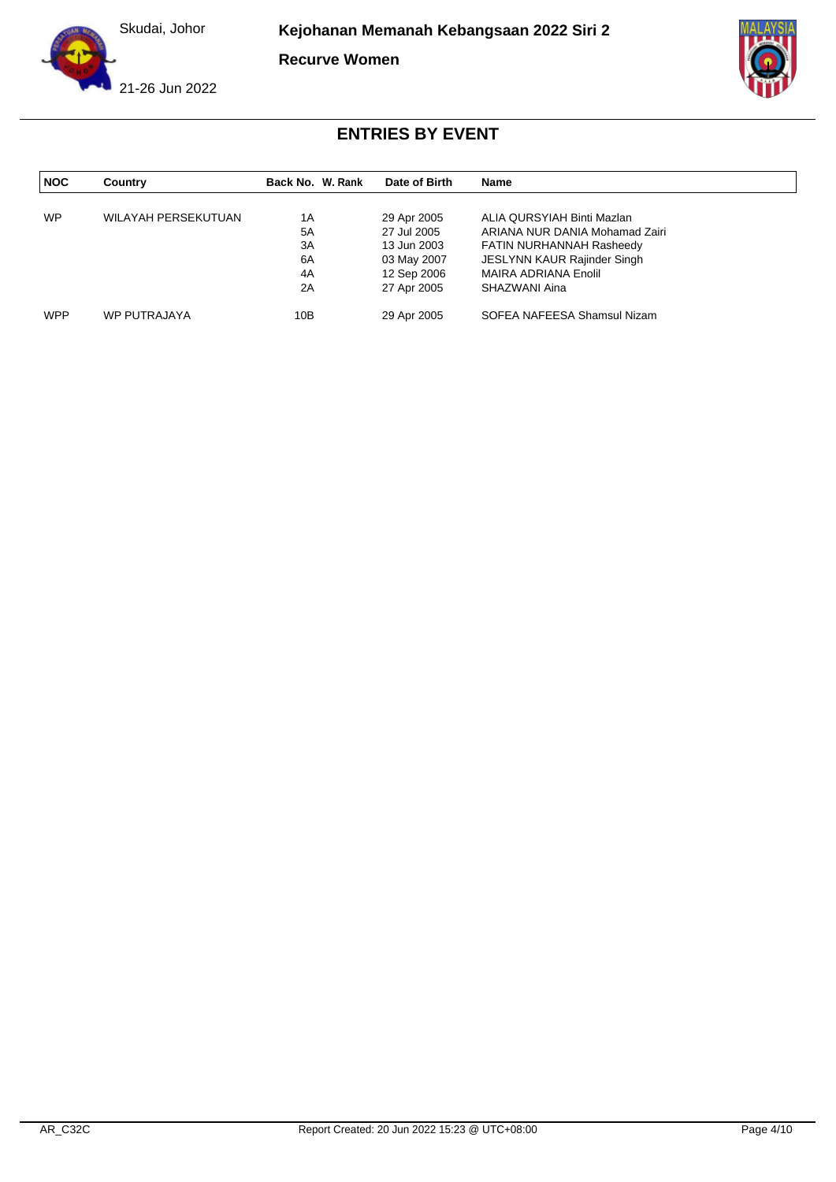

**Kejohanan Memanah Kebangsaan 2022 Siri 2**

**Recurve Women**





| <b>NOC</b> | Country                    | Back No. W. Rank | Date of Birth | Name                           |
|------------|----------------------------|------------------|---------------|--------------------------------|
|            |                            |                  |               |                                |
| <b>WP</b>  | <b>WILAYAH PERSEKUTUAN</b> | 1Α               | 29 Apr 2005   | ALIA QURSYIAH Binti Mazlan     |
|            |                            | 5A               | 27 Jul 2005   | ARIANA NUR DANIA Mohamad Zairi |
|            |                            | 3A               | 13 Jun 2003   | FATIN NURHANNAH Rasheedy       |
|            |                            | 6A               | 03 May 2007   | JESLYNN KAUR Rajinder Singh    |
|            |                            | 4A               | 12 Sep 2006   | MAIRA ADRIANA Enolil           |
|            |                            | 2A               | 27 Apr 2005   | SHAZWANI Aina                  |
| <b>WPP</b> | WP PUTRAJAYA               | 10B              | 29 Apr 2005   | SOFEA NAFEESA Shamsul Nizam    |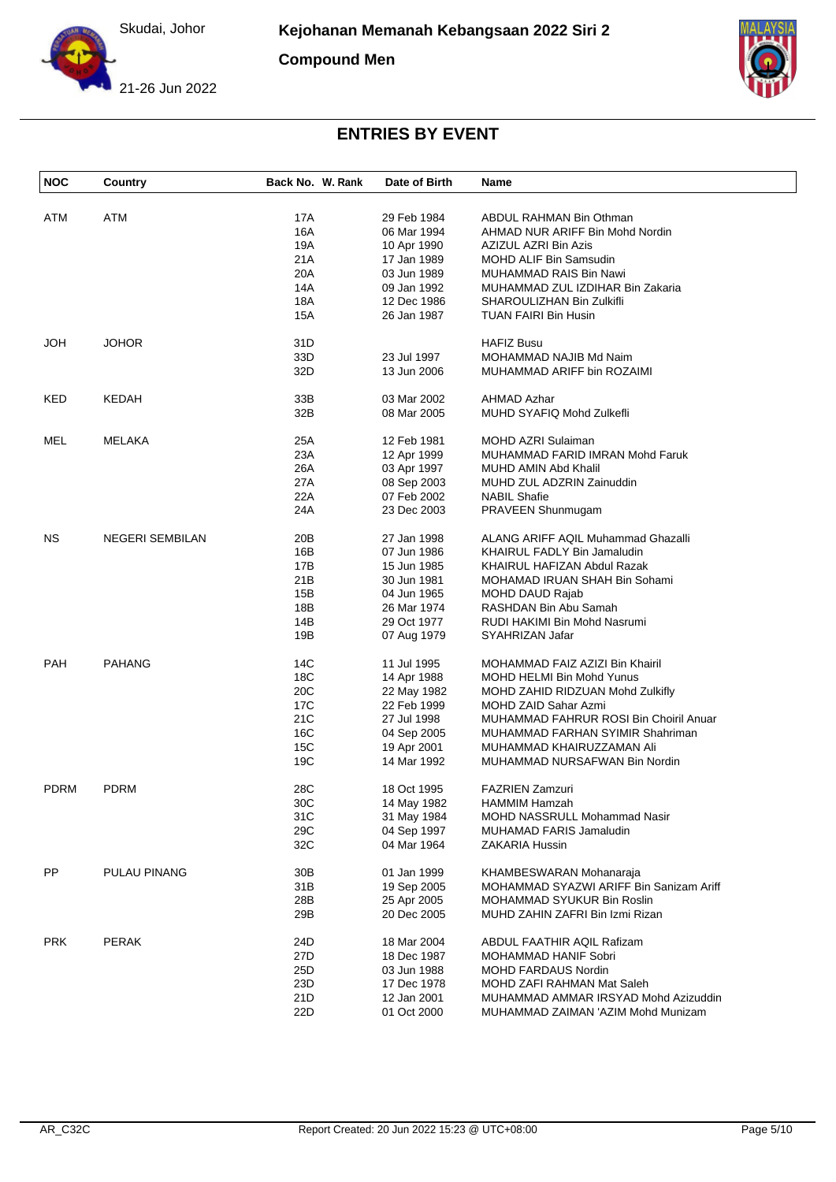

**Compound Men**





| <b>NOC</b> | Country                | Back No. W. Rank | Date of Birth | <b>Name</b>                             |
|------------|------------------------|------------------|---------------|-----------------------------------------|
|            |                        |                  |               |                                         |
| ATM        | ATM                    | 17A              | 29 Feb 1984   | ABDUL RAHMAN Bin Othman                 |
|            |                        | 16A              | 06 Mar 1994   | AHMAD NUR ARIFF Bin Mohd Nordin         |
|            |                        | 19A              | 10 Apr 1990   | AZIZUL AZRI Bin Azis                    |
|            |                        | 21A              | 17 Jan 1989   | <b>MOHD ALIF Bin Samsudin</b>           |
|            |                        | 20A              | 03 Jun 1989   | MUHAMMAD RAIS Bin Nawi                  |
|            |                        | 14A              | 09 Jan 1992   | MUHAMMAD ZUL IZDIHAR Bin Zakaria        |
|            |                        | 18A              | 12 Dec 1986   | SHAROULIZHAN Bin Zulkifli               |
|            |                        | 15A              | 26 Jan 1987   | <b>TUAN FAIRI Bin Husin</b>             |
| JOH        | <b>JOHOR</b>           | 31D              |               | <b>HAFIZ Busu</b>                       |
|            |                        | 33D              | 23 Jul 1997   | MOHAMMAD NAJIB Md Naim                  |
|            |                        | 32D              | 13 Jun 2006   | MUHAMMAD ARIFF bin ROZAIMI              |
| KED        | KEDAH                  | 33B              | 03 Mar 2002   | <b>AHMAD Azhar</b>                      |
|            |                        | 32B              | 08 Mar 2005   | MUHD SYAFIQ Mohd Zulkefli               |
|            |                        |                  |               |                                         |
| MEL        | MELAKA                 | 25A              | 12 Feb 1981   | <b>MOHD AZRI Sulaiman</b>               |
|            |                        | 23A              | 12 Apr 1999   | MUHAMMAD FARID IMRAN Mohd Faruk         |
|            |                        | 26A              | 03 Apr 1997   | MUHD AMIN Abd Khalil                    |
|            |                        | 27A              | 08 Sep 2003   | MUHD ZUL ADZRIN Zainuddin               |
|            |                        | 22A              | 07 Feb 2002   | <b>NABIL Shafie</b>                     |
|            |                        | 24A              | 23 Dec 2003   | PRAVEEN Shunmugam                       |
| NS.        | <b>NEGERI SEMBILAN</b> | 20 <sub>B</sub>  | 27 Jan 1998   | ALANG ARIFF AQIL Muhammad Ghazalli      |
|            |                        | 16B              | 07 Jun 1986   | KHAIRUL FADLY Bin Jamaludin             |
|            |                        | 17B              | 15 Jun 1985   | KHAIRUL HAFIZAN Abdul Razak             |
|            |                        | 21B              | 30 Jun 1981   | MOHAMAD IRUAN SHAH Bin Sohami           |
|            |                        | 15B              | 04 Jun 1965   | MOHD DAUD Rajab                         |
|            |                        | 18B              |               |                                         |
|            |                        |                  | 26 Mar 1974   | RASHDAN Bin Abu Samah                   |
|            |                        | 14B              | 29 Oct 1977   | RUDI HAKIMI Bin Mohd Nasrumi            |
|            |                        | 19B              | 07 Aug 1979   | SYAHRIZAN Jafar                         |
| <b>PAH</b> | <b>PAHANG</b>          | 14C              | 11 Jul 1995   | MOHAMMAD FAIZ AZIZI Bin Khairil         |
|            |                        | 18C              | 14 Apr 1988   | MOHD HELMI Bin Mohd Yunus               |
|            |                        | 20C              | 22 May 1982   | MOHD ZAHID RIDZUAN Mohd Zulkifly        |
|            |                        | 17 <sub>C</sub>  | 22 Feb 1999   | MOHD ZAID Sahar Azmi                    |
|            |                        | 21C              | 27 Jul 1998   | MUHAMMAD FAHRUR ROSI Bin Choiril Anuar  |
|            |                        | 16C              | 04 Sep 2005   | MUHAMMAD FARHAN SYIMIR Shahriman        |
|            |                        | 15C              | 19 Apr 2001   | MUHAMMAD KHAIRUZZAMAN Ali               |
|            |                        | 19C              | 14 Mar 1992   | MUHAMMAD NURSAFWAN Bin Nordin           |
|            |                        |                  |               |                                         |
| PDRM       | <b>PDRM</b>            | 28C              | 18 Oct 1995   | <b>FAZRIEN Zamzuri</b>                  |
|            |                        | 30C              | 14 May 1982   | HAMMIM Hamzah                           |
|            |                        | 31C              | 31 May 1984   | MOHD NASSRULL Mohammad Nasir            |
|            |                        | 29C              | 04 Sep 1997   | MUHAMAD FARIS Jamaludin                 |
|            |                        | 32C              | 04 Mar 1964   | ZAKARIA Hussin                          |
| PP.        | PULAU PINANG           | 30B              | 01 Jan 1999   | KHAMBESWARAN Mohanaraja                 |
|            |                        | 31B              | 19 Sep 2005   | MOHAMMAD SYAZWI ARIFF Bin Sanizam Ariff |
|            |                        | 28B              | 25 Apr 2005   | MOHAMMAD SYUKUR Bin Roslin              |
|            |                        | 29B              | 20 Dec 2005   | MUHD ZAHIN ZAFRI Bin Izmi Rizan         |
|            |                        |                  |               |                                         |
| <b>PRK</b> | <b>PERAK</b>           | 24D              | 18 Mar 2004   | ABDUL FAATHIR AQIL Rafizam              |
|            |                        | 27D              | 18 Dec 1987   | MOHAMMAD HANIF Sobri                    |
|            |                        | 25D              | 03 Jun 1988   | MOHD FARDAUS Nordin                     |
|            |                        | 23D              | 17 Dec 1978   | MOHD ZAFI RAHMAN Mat Saleh              |
|            |                        | 21D              | 12 Jan 2001   | MUHAMMAD AMMAR IRSYAD Mohd Azizuddin    |
|            |                        | 22D              | 01 Oct 2000   | MUHAMMAD ZAIMAN 'AZIM Mohd Munizam      |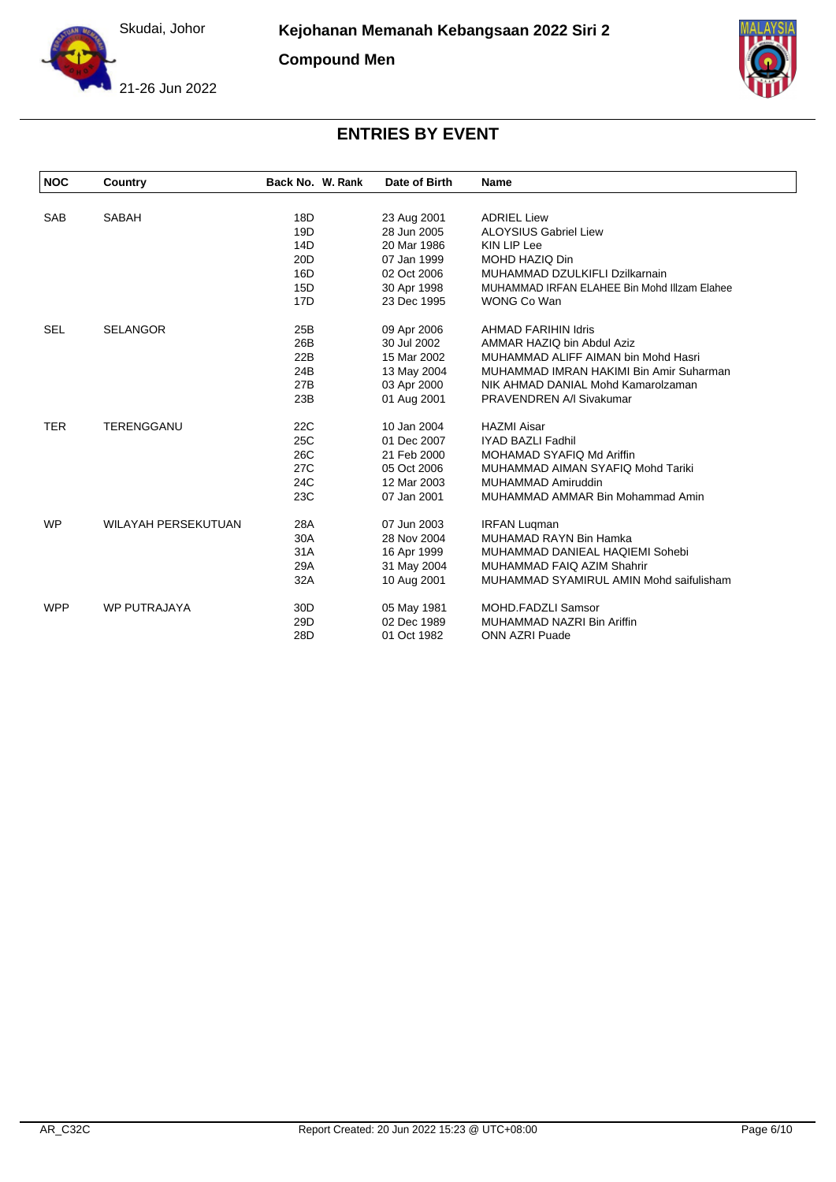Skudai, Johor

**Compound Men**





| <b>NOC</b> | Country                    | Back No. W. Rank | Date of Birth | <b>Name</b>                                  |
|------------|----------------------------|------------------|---------------|----------------------------------------------|
|            |                            |                  |               |                                              |
| <b>SAB</b> | <b>SABAH</b>               | 18D              | 23 Aug 2001   | <b>ADRIEL Liew</b>                           |
|            |                            | 19D              | 28 Jun 2005   | <b>ALOYSIUS Gabriel Liew</b>                 |
|            |                            | 14D              | 20 Mar 1986   | <b>KIN LIP Lee</b>                           |
|            |                            | 20 <sub>D</sub>  | 07 Jan 1999   | MOHD HAZIQ Din                               |
|            |                            | 16D              | 02 Oct 2006   | MUHAMMAD DZULKIFLI Dzilkarnain               |
|            |                            | 15D              | 30 Apr 1998   | MUHAMMAD IRFAN ELAHEE Bin Mohd IIIzam Elahee |
|            |                            | 17D              | 23 Dec 1995   | WONG Co Wan                                  |
| <b>SEL</b> | <b>SELANGOR</b>            | 25B              | 09 Apr 2006   | <b>AHMAD FARIHIN Idris</b>                   |
|            |                            | 26B              | 30 Jul 2002   | AMMAR HAZIQ bin Abdul Aziz                   |
|            |                            | 22B              | 15 Mar 2002   | MUHAMMAD ALIFF AIMAN bin Mohd Hasri          |
|            |                            | 24B              | 13 May 2004   | MUHAMMAD IMRAN HAKIMI Bin Amir Suharman      |
|            |                            | 27B              | 03 Apr 2000   | NIK AHMAD DANIAL Mohd Kamarolzaman           |
|            |                            | 23B              | 01 Aug 2001   | PRAVENDREN A/I Sivakumar                     |
| <b>TER</b> | TERENGGANU                 | 22C              | 10 Jan 2004   | <b>HAZMI Aisar</b>                           |
|            |                            | 25C              | 01 Dec 2007   | <b>IYAD BAZLI Fadhil</b>                     |
|            |                            | 26C              | 21 Feb 2000   | MOHAMAD SYAFIQ Md Ariffin                    |
|            |                            | 27C              | 05 Oct 2006   | MUHAMMAD AIMAN SYAFIQ Mohd Tariki            |
|            |                            | 24C              | 12 Mar 2003   | MUHAMMAD Amiruddin                           |
|            |                            | 23C              | 07 Jan 2001   | MUHAMMAD AMMAR Bin Mohammad Amin             |
| <b>WP</b>  | <b>WILAYAH PERSEKUTUAN</b> | 28A              | 07 Jun 2003   | <b>IRFAN Luqman</b>                          |
|            |                            | 30A              | 28 Nov 2004   | MUHAMAD RAYN Bin Hamka                       |
|            |                            | 31A              | 16 Apr 1999   | MUHAMMAD DANIEAL HAQIEMI Sohebi              |
|            |                            | 29A              | 31 May 2004   | MUHAMMAD FAIQ AZIM Shahrir                   |
|            |                            | 32A              | 10 Aug 2001   | MUHAMMAD SYAMIRUL AMIN Mohd saifulisham      |
| <b>WPP</b> | <b>WP PUTRAJAYA</b>        | 30 <sub>D</sub>  | 05 May 1981   | <b>MOHD.FADZLI Samsor</b>                    |
|            |                            | 29 <sub>D</sub>  | 02 Dec 1989   | MUHAMMAD NAZRI Bin Ariffin                   |
|            |                            | 28D              | 01 Oct 1982   | <b>ONN AZRI Puade</b>                        |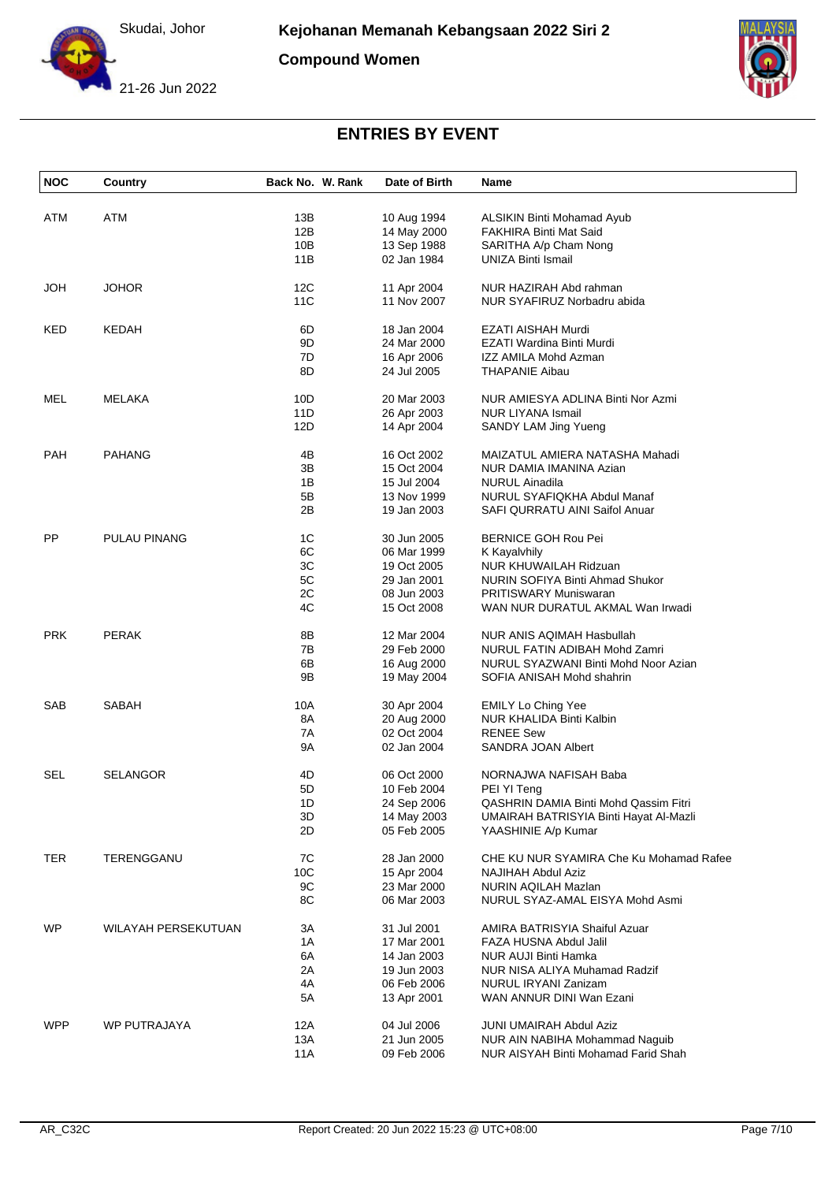

**Compound Women**





| <b>NOC</b> | Country             | Back No. W. Rank | Date of Birth              | Name                                                          |
|------------|---------------------|------------------|----------------------------|---------------------------------------------------------------|
|            |                     |                  |                            |                                                               |
| ATM        | ATM                 | 13B              | 10 Aug 1994                | ALSIKIN Binti Mohamad Ayub                                    |
|            |                     | 12B              | 14 May 2000                | FAKHIRA Binti Mat Said                                        |
|            |                     | 10B              | 13 Sep 1988                | SARITHA A/p Cham Nong                                         |
|            |                     | 11B              | 02 Jan 1984                | <b>UNIZA Binti Ismail</b>                                     |
| <b>HOL</b> | <b>JOHOR</b>        | 12C              | 11 Apr 2004                | NUR HAZIRAH Abd rahman                                        |
|            |                     | 11C              | 11 Nov 2007                | NUR SYAFIRUZ Norbadru abida                                   |
| KED        | <b>KEDAH</b>        | 6D               | 18 Jan 2004                | EZATI AISHAH Murdi                                            |
|            |                     | 9D               | 24 Mar 2000                | EZATI Wardina Binti Murdi                                     |
|            |                     | 7D               | 16 Apr 2006                | IZZ AMILA Mohd Azman                                          |
|            |                     | 8D               | 24 Jul 2005                | <b>THAPANIE Aibau</b>                                         |
| MEL        | MELAKA              | 10D              | 20 Mar 2003                | NUR AMIESYA ADLINA Binti Nor Azmi                             |
|            |                     | 11D              | 26 Apr 2003                | <b>NUR LIYANA Ismail</b>                                      |
|            |                     | 12D              | 14 Apr 2004                | SANDY LAM Jing Yueng                                          |
|            |                     |                  |                            |                                                               |
| <b>PAH</b> | <b>PAHANG</b>       | 4B               | 16 Oct 2002                | MAIZATUL AMIERA NATASHA Mahadi                                |
|            |                     | 3B               | 15 Oct 2004                | NUR DAMIA IMANINA Azian                                       |
|            |                     | 1B               | 15 Jul 2004                | <b>NURUL Ainadila</b>                                         |
|            |                     | 5Β               | 13 Nov 1999                | NURUL SYAFIQKHA Abdul Manaf                                   |
|            |                     | 2B               | 19 Jan 2003                | SAFI QURRATU AINI Saifol Anuar                                |
| PP         | PULAU PINANG        | 1C               | 30 Jun 2005                | <b>BERNICE GOH Rou Pei</b>                                    |
|            |                     | 6C               | 06 Mar 1999                | K Kayalvhily                                                  |
|            |                     | 3C               | 19 Oct 2005                | <b>NUR KHUWAILAH Ridzuan</b>                                  |
|            |                     | 5C               | 29 Jan 2001                | NURIN SOFIYA Binti Ahmad Shukor                               |
|            |                     | 2C               | 08 Jun 2003                | <b>PRITISWARY Muniswaran</b>                                  |
|            |                     | 4C               | 15 Oct 2008                | WAN NUR DURATUL AKMAL Wan Irwadi                              |
| <b>PRK</b> | <b>PERAK</b>        | 8Β               | 12 Mar 2004                | NUR ANIS AQIMAH Hasbullah                                     |
|            |                     | 7B               | 29 Feb 2000                | NURUL FATIN ADIBAH Mohd Zamri                                 |
|            |                     | 6B               | 16 Aug 2000                | NURUL SYAZWANI Binti Mohd Noor Azian                          |
|            |                     | 9Β               | 19 May 2004                | SOFIA ANISAH Mohd shahrin                                     |
| <b>SAB</b> | SABAH               | 10A              | 30 Apr 2004                | <b>EMILY Lo Ching Yee</b>                                     |
|            |                     | 8A               | 20 Aug 2000                | NUR KHALIDA Binti Kalbin                                      |
|            |                     | 7A               | 02 Oct 2004                | <b>RENEE Sew</b>                                              |
|            |                     | 9Α               | 02 Jan 2004                | SANDRA JOAN Albert                                            |
| SEL        | <b>SELANGOR</b>     | 4D               | 06 Oct 2000                | NORNAJWA NAFISAH Baba                                         |
|            |                     | 5D               |                            |                                                               |
|            |                     | 1D               | 10 Feb 2004                | PEI YI Teng<br>QASHRIN DAMIA Binti Mohd Qassim Fitri          |
|            |                     |                  | 24 Sep 2006                |                                                               |
|            |                     | 3D<br>2D         | 14 May 2003<br>05 Feb 2005 | UMAIRAH BATRISYIA Binti Hayat Al-Mazli<br>YAASHINIE A/p Kumar |
|            |                     |                  |                            |                                                               |
| TER        | TERENGGANU          | 7C               | 28 Jan 2000                | CHE KU NUR SYAMIRA Che Ku Mohamad Rafee                       |
|            |                     | 10C              | 15 Apr 2004                | <b>NAJIHAH Abdul Aziz</b>                                     |
|            |                     | 9C               | 23 Mar 2000                | NURIN AQILAH Mazlan                                           |
|            |                     | 8C               | 06 Mar 2003                | NURUL SYAZ-AMAL EISYA Mohd Asmi                               |
| WP         | WILAYAH PERSEKUTUAN | 3A               | 31 Jul 2001                | AMIRA BATRISYIA Shaiful Azuar                                 |
|            |                     | 1A               | 17 Mar 2001                | FAZA HUSNA Abdul Jalil                                        |
|            |                     | 6A               | 14 Jan 2003                | NUR AUJI Binti Hamka                                          |
|            |                     | 2A               | 19 Jun 2003                | NUR NISA ALIYA Muhamad Radzif                                 |
|            |                     | 4A               | 06 Feb 2006                | NURUL IRYANI Zanizam                                          |
|            |                     | 5A               | 13 Apr 2001                | WAN ANNUR DINI Wan Ezani                                      |
| <b>WPP</b> | WP PUTRAJAYA        | 12A              | 04 Jul 2006                | <b>JUNI UMAIRAH Abdul Aziz</b>                                |
|            |                     | 13A              | 21 Jun 2005                | NUR AIN NABIHA Mohammad Naguib                                |
|            |                     | 11A              | 09 Feb 2006                | NUR AISYAH Binti Mohamad Farid Shah                           |
|            |                     |                  |                            |                                                               |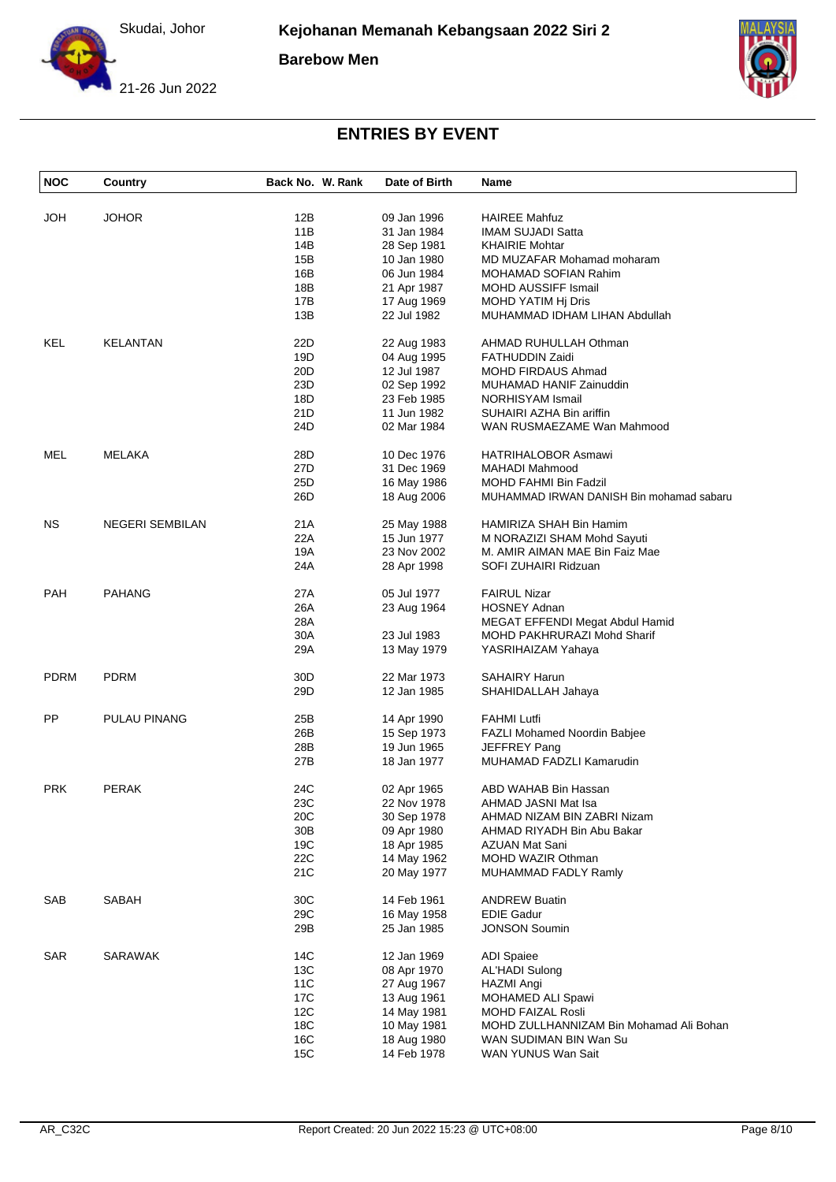Skudai, Johor

**Barebow Men**





| <b>NOC</b>  | Country                | Back No. W. Rank | Date of Birth | Name                                     |
|-------------|------------------------|------------------|---------------|------------------------------------------|
| JOH         | <b>JOHOR</b>           | 12B              | 09 Jan 1996   | <b>HAIREE Mahfuz</b>                     |
|             |                        | 11B              | 31 Jan 1984   | <b>IMAM SUJADI Satta</b>                 |
|             |                        | 14B              | 28 Sep 1981   | <b>KHAIRIE Mohtar</b>                    |
|             |                        | 15B              | 10 Jan 1980   | MD MUZAFAR Mohamad moharam               |
|             |                        | 16B              | 06 Jun 1984   | MOHAMAD SOFIAN Rahim                     |
|             |                        | 18B              | 21 Apr 1987   | MOHD AUSSIFF Ismail                      |
|             |                        | 17B              | 17 Aug 1969   | MOHD YATIM Hj Dris                       |
|             |                        | 13B              | 22 Jul 1982   | MUHAMMAD IDHAM LIHAN Abdullah            |
|             |                        |                  |               |                                          |
| <b>KEL</b>  | KELANTAN               | 22D              | 22 Aug 1983   | AHMAD RUHULLAH Othman                    |
|             |                        | 19D              | 04 Aug 1995   | <b>FATHUDDIN Zaidi</b>                   |
|             |                        | 20D              | 12 Jul 1987   | MOHD FIRDAUS Ahmad                       |
|             |                        | 23D              | 02 Sep 1992   | MUHAMAD HANIF Zainuddin                  |
|             |                        | 18D              | 23 Feb 1985   | NORHISYAM Ismail                         |
|             |                        | 21D              | 11 Jun 1982   | SUHAIRI AZHA Bin ariffin                 |
|             |                        | 24D              | 02 Mar 1984   | WAN RUSMAEZAME Wan Mahmood               |
| MEL         | MELAKA                 | 28D              | 10 Dec 1976   | HATRIHALOBOR Asmawi                      |
|             |                        | 27D              | 31 Dec 1969   | <b>MAHADI Mahmood</b>                    |
|             |                        | 25D              | 16 May 1986   | MOHD FAHMI Bin Fadzil                    |
|             |                        | 26D              | 18 Aug 2006   | MUHAMMAD IRWAN DANISH Bin mohamad sabaru |
| NS.         | <b>NEGERI SEMBILAN</b> | 21A              | 25 May 1988   | HAMIRIZA SHAH Bin Hamim                  |
|             |                        | 22A              | 15 Jun 1977   | M NORAZIZI SHAM Mohd Sayuti              |
|             |                        | 19A              | 23 Nov 2002   | M. AMIR AIMAN MAE Bin Faiz Mae           |
|             |                        | 24A              | 28 Apr 1998   | SOFI ZUHAIRI Ridzuan                     |
|             |                        |                  |               |                                          |
| <b>PAH</b>  | <b>PAHANG</b>          | 27A              | 05 Jul 1977   | <b>FAIRUL Nizar</b>                      |
|             |                        | 26A              | 23 Aug 1964   | <b>HOSNEY Adnan</b>                      |
|             |                        | 28A              |               | MEGAT EFFENDI Megat Abdul Hamid          |
|             |                        | 30A              | 23 Jul 1983   | MOHD PAKHRURAZI Mohd Sharif              |
|             |                        | 29A              | 13 May 1979   | YASRIHAIZAM Yahaya                       |
| <b>PDRM</b> | <b>PDRM</b>            | 30 <sub>D</sub>  | 22 Mar 1973   | <b>SAHAIRY Harun</b>                     |
|             |                        | 29D              | 12 Jan 1985   | SHAHIDALLAH Jahaya                       |
|             |                        |                  |               |                                          |
| PP          | <b>PULAU PINANG</b>    | 25B              | 14 Apr 1990   | <b>FAHMI Lutfi</b>                       |
|             |                        | 26B              | 15 Sep 1973   | FAZLI Mohamed Noordin Babjee             |
|             |                        | 28B              | 19 Jun 1965   | JEFFREY Pang                             |
|             |                        | 27B              | 18 Jan 1977   | MUHAMAD FADZLI Kamarudin                 |
| <b>PRK</b>  | <b>PERAK</b>           | 24C              | 02 Apr 1965   | ABD WAHAB Bin Hassan                     |
|             |                        | 23C              | 22 Nov 1978   | AHMAD JASNI Mat Isa                      |
|             |                        | 20 <sub>C</sub>  | 30 Sep 1978   | AHMAD NIZAM BIN ZABRI Nizam              |
|             |                        | 30B              | 09 Apr 1980   | AHMAD RIYADH Bin Abu Bakar               |
|             |                        | 19C              | 18 Apr 1985   | AZUAN Mat Sani                           |
|             |                        | 22C              | 14 May 1962   | MOHD WAZIR Othman                        |
|             |                        | 21C              | 20 May 1977   | MUHAMMAD FADLY Ramly                     |
|             |                        |                  |               |                                          |
| SAB         | SABAH                  | 30C              | 14 Feb 1961   | <b>ANDREW Buatin</b>                     |
|             |                        | 29C              | 16 May 1958   | <b>EDIE Gadur</b>                        |
|             |                        | 29B              | 25 Jan 1985   | <b>JONSON Soumin</b>                     |
| SAR         | <b>SARAWAK</b>         | 14C              | 12 Jan 1969   | <b>ADI Spaiee</b>                        |
|             |                        | 13C              | 08 Apr 1970   | <b>AL'HADI Sulong</b>                    |
|             |                        | 11C              | 27 Aug 1967   | HAZMI Angi                               |
|             |                        | 17C              | 13 Aug 1961   | MOHAMED ALI Spawi                        |
|             |                        | 12C              | 14 May 1981   | MOHD FAIZAL Rosli                        |
|             |                        | 18C              | 10 May 1981   | MOHD ZULLHANNIZAM Bin Mohamad Ali Bohan  |
|             |                        | 16C              | 18 Aug 1980   | WAN SUDIMAN BIN Wan Su                   |
|             |                        | 15C              | 14 Feb 1978   | WAN YUNUS Wan Sait                       |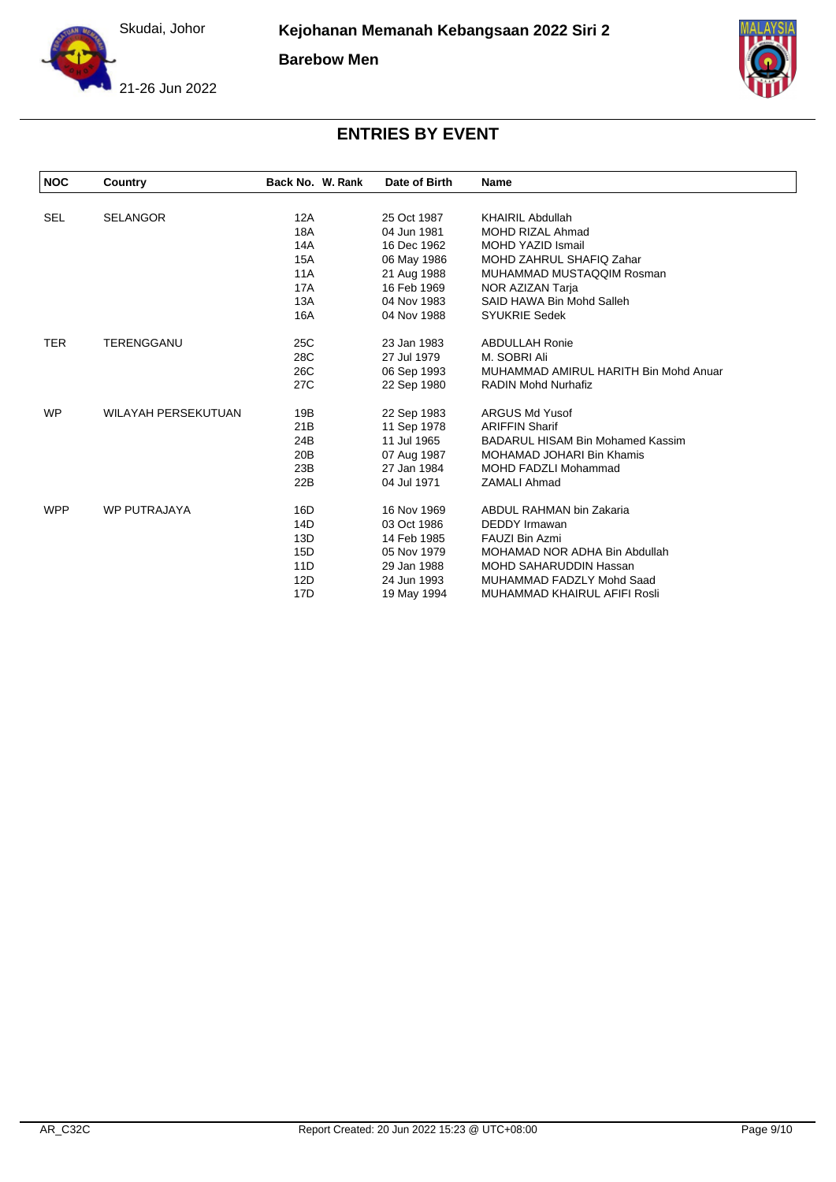

**Barebow Men**





| <b>NOC</b> | Country                    | Back No. W. Rank | Date of Birth | Name                                    |
|------------|----------------------------|------------------|---------------|-----------------------------------------|
|            |                            |                  |               |                                         |
| <b>SEL</b> | <b>SELANGOR</b>            | 12A              | 25 Oct 1987   | <b>KHAIRIL Abdullah</b>                 |
|            |                            | 18A              | 04 Jun 1981   | <b>MOHD RIZAL Ahmad</b>                 |
|            |                            | 14A              | 16 Dec 1962   | <b>MOHD YAZID Ismail</b>                |
|            |                            | <b>15A</b>       | 06 May 1986   | MOHD ZAHRUL SHAFIQ Zahar                |
|            |                            | <b>11A</b>       | 21 Aug 1988   | MUHAMMAD MUSTAQQIM Rosman               |
|            |                            | 17A              | 16 Feb 1969   | NOR AZIZAN Tarja                        |
|            |                            | 13A              | 04 Nov 1983   | SAID HAWA Bin Mohd Salleh               |
|            |                            | 16A              | 04 Nov 1988   | <b>SYUKRIE Sedek</b>                    |
| <b>TER</b> | <b>TERENGGANU</b>          | 25C              | 23 Jan 1983   | <b>ABDULLAH Ronie</b>                   |
|            |                            | 28C              | 27 Jul 1979   | M. SOBRI Ali                            |
|            |                            | 26C              | 06 Sep 1993   | MUHAMMAD AMIRUL HARITH Bin Mohd Anuar   |
|            |                            | 27C              | 22 Sep 1980   | <b>RADIN Mohd Nurhafiz</b>              |
| <b>WP</b>  | <b>WILAYAH PERSEKUTUAN</b> | 19B              | 22 Sep 1983   | <b>ARGUS Md Yusof</b>                   |
|            |                            | 21B              | 11 Sep 1978   | <b>ARIFFIN Sharif</b>                   |
|            |                            | 24B              | 11 Jul 1965   | <b>BADARUL HISAM Bin Mohamed Kassim</b> |
|            |                            | 20 <sub>B</sub>  | 07 Aug 1987   | <b>MOHAMAD JOHARI Bin Khamis</b>        |
|            |                            | 23B              | 27 Jan 1984   | <b>MOHD FADZLI Mohammad</b>             |
|            |                            | 22B              | 04 Jul 1971   | <b>ZAMALI Ahmad</b>                     |
| <b>WPP</b> | <b>WP PUTRAJAYA</b>        | 16D              | 16 Nov 1969   | ABDUL RAHMAN bin Zakaria                |
|            |                            | 14D              | 03 Oct 1986   | <b>DEDDY</b> Irmawan                    |
|            |                            | 13D              | 14 Feb 1985   | FAUZI Bin Azmi                          |
|            |                            | 15D              | 05 Nov 1979   | MOHAMAD NOR ADHA Bin Abdullah           |
|            |                            | 11D              | 29 Jan 1988   | <b>MOHD SAHARUDDIN Hassan</b>           |
|            |                            | 12D              | 24 Jun 1993   | MUHAMMAD FADZLY Mohd Saad               |
|            |                            | 17D              | 19 May 1994   | MUHAMMAD KHAIRUL AFIFI Rosli            |